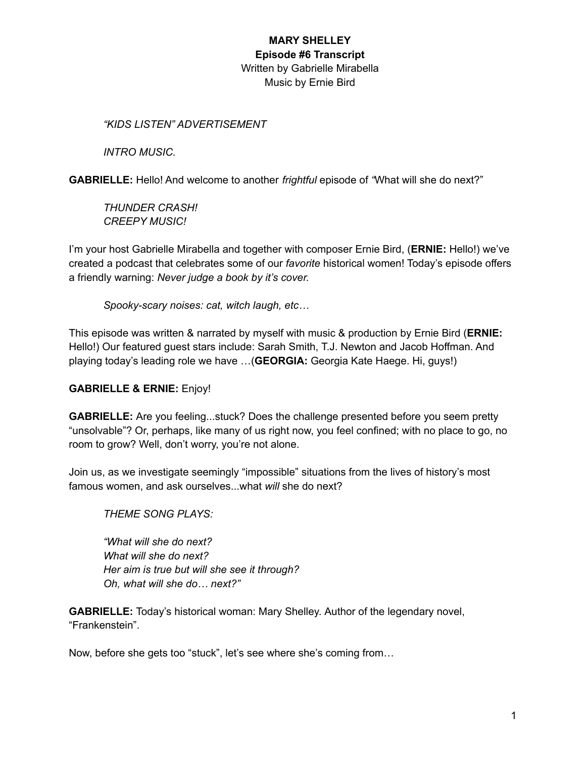*"KIDS LISTEN" ADVERTISEMENT*

*INTRO MUSIC.*

**GABRIELLE:** Hello! And welcome to another *frightful* episode of *"*What will she do next?"

*THUNDER CRASH! CREEPY MUSIC!*

I'm your host Gabrielle Mirabella and together with composer Ernie Bird, (**ERNIE:** Hello!) we've created a podcast that celebrates some of our *favorite* historical women! Today's episode offers a friendly warning: *Never judge a book by it's cover.*

*Spooky-scary noises: cat, witch laugh, etc…*

This episode was written & narrated by myself with music & production by Ernie Bird (**ERNIE:** Hello!) Our featured guest stars include: Sarah Smith, T.J. Newton and Jacob Hoffman. And playing today's leading role we have …(**GEORGIA:** Georgia Kate Haege. Hi, guys!)

#### **GABRIELLE & ERNIE:** Enjoy!

**GABRIELLE:** Are you feeling...stuck? Does the challenge presented before you seem pretty "unsolvable"? Or, perhaps, like many of us right now, you feel confined; with no place to go, no room to grow? Well, don't worry, you're not alone.

Join us, as we investigate seemingly "impossible" situations from the lives of history's most famous women, and ask ourselves...what *will* she do next?

*THEME SONG PLAYS:*

*"What will she do next? What will she do next? Her aim is true but will she see it through? Oh, what will she do… next?"*

**GABRIELLE:** Today's historical woman: Mary Shelley. Author of the legendary novel, "Frankenstein".

Now, before she gets too "stuck", let's see where she's coming from…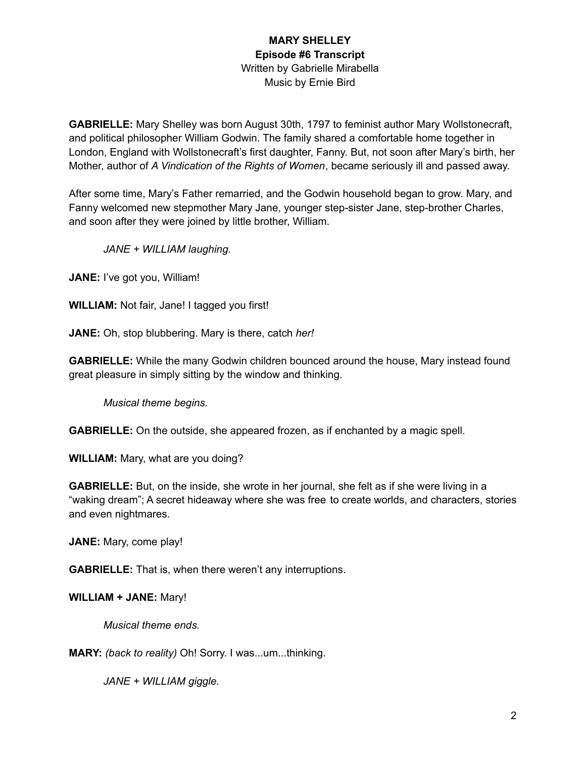**GABRIELLE:** Mary Shelley was born August 30th, 1797 to feminist author Mary Wollstonecraft, and political philosopher William Godwin. The family shared a comfortable home together in London, England with Wollstonecraft's first daughter, Fanny. But, not soon after Mary's birth, her Mother, author of *A Vindication of the Rights of Women*, became seriously ill and passed away.

After some time, Mary's Father remarried, and the Godwin household began to grow. Mary, and Fanny welcomed new stepmother Mary Jane, younger step-sister Jane, step-brother Charles, and soon after they were joined by little brother, William.

*JANE + WILLIAM laughing.*

**JANE:** I've got you, William!

**WILLIAM:** Not fair, Jane! I tagged you first!

**JANE:** Oh, stop blubbering. Mary is there, catch *her!*

**GABRIELLE:** While the many Godwin children bounced around the house, Mary instead found great pleasure in simply sitting by the window and thinking.

*Musical theme begins.*

**GABRIELLE:** On the outside, she appeared frozen, as if enchanted by a magic spell.

**WILLIAM:** Mary, what are you doing?

**GABRIELLE:** But, on the inside, she wrote in her journal, she felt as if she were living in a "waking dream"; A secret hideaway where she was free to create worlds, and characters, stories and even nightmares.

**JANE:** Mary, come play!

**GABRIELLE:** That is, when there weren't any interruptions.

**WILLIAM + JANE:** Mary!

*Musical theme ends.*

**MARY:** *(back to reality)* Oh! Sorry. I was...um...thinking.

*JANE + WILLIAM giggle.*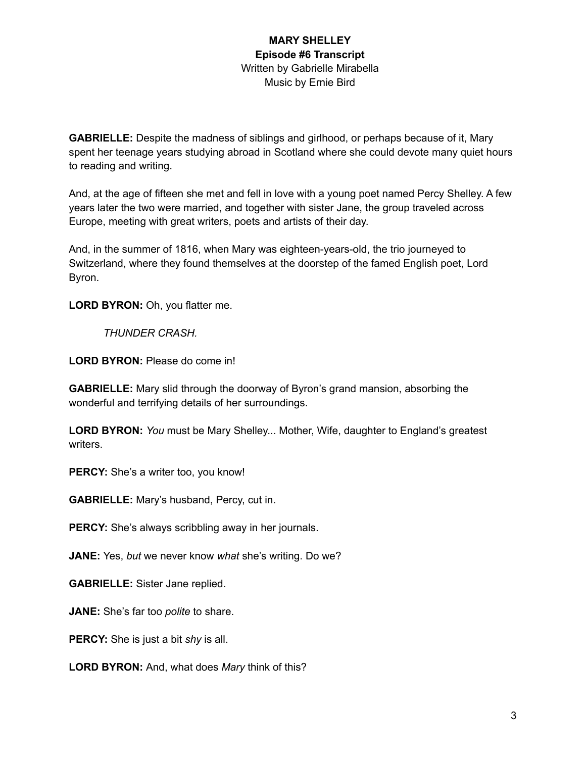**GABRIELLE:** Despite the madness of siblings and girlhood, or perhaps because of it, Mary spent her teenage years studying abroad in Scotland where she could devote many quiet hours to reading and writing.

And, at the age of fifteen she met and fell in love with a young poet named Percy Shelley. A few years later the two were married, and together with sister Jane, the group traveled across Europe, meeting with great writers, poets and artists of their day.

And, in the summer of 1816, when Mary was eighteen-years-old, the trio journeyed to Switzerland, where they found themselves at the doorstep of the famed English poet, Lord Byron.

**LORD BYRON:** Oh, you flatter me.

*THUNDER CRASH.*

**LORD BYRON:** Please do come in!

**GABRIELLE:** Mary slid through the doorway of Byron's grand mansion, absorbing the wonderful and terrifying details of her surroundings.

**LORD BYRON:** *You* must be Mary Shelley... Mother, Wife, daughter to England's greatest writers.

**PERCY:** She's a writer too, you know!

**GABRIELLE:** Mary's husband, Percy, cut in.

**PERCY:** She's always scribbling away in her journals.

**JANE:** Yes, *but* we never know *what* she's writing. Do we?

**GABRIELLE:** Sister Jane replied.

**JANE:** She's far too *polite* to share.

**PERCY:** She is just a bit *shy* is all.

**LORD BYRON:** And, what does *Mary* think of this?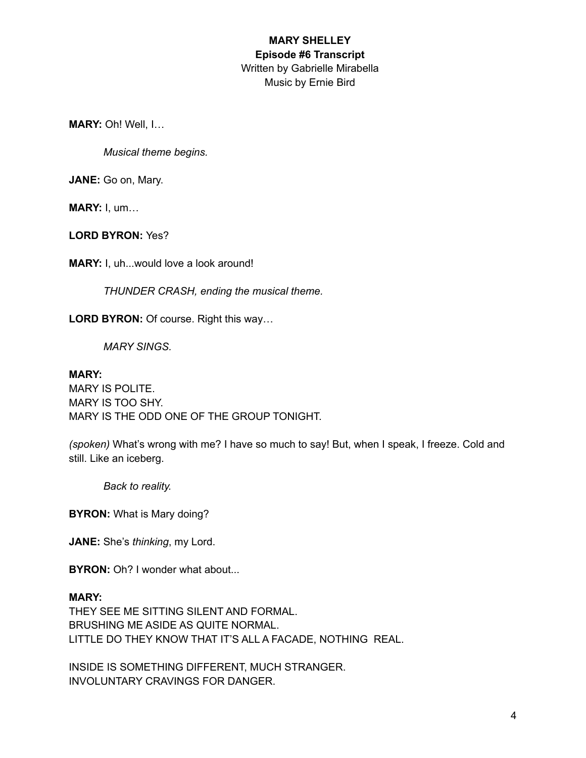**MARY:** Oh! Well, I…

*Musical theme begins.*

**JANE:** Go on, Mary.

**MARY:** I, um…

**LORD BYRON:** Yes?

**MARY:** I, uh...would love a look around!

*THUNDER CRASH, ending the musical theme.*

**LORD BYRON:** Of course. Right this way…

*MARY SINGS.*

#### **MARY:**

MARY IS POLITE. MARY IS TOO SHY. MARY IS THE ODD ONE OF THE GROUP TONIGHT.

*(spoken)* What's wrong with me? I have so much to say! But, when I speak, I freeze. Cold and still. Like an iceberg.

*Back to reality.*

**BYRON:** What is Mary doing?

**JANE:** She's *thinking*, my Lord.

**BYRON:** Oh? I wonder what about...

#### **MARY:**

THEY SEE ME SITTING SILENT AND FORMAL. BRUSHING ME ASIDE AS QUITE NORMAL. LITTLE DO THEY KNOW THAT IT'S ALL A FACADE, NOTHING REAL.

INSIDE IS SOMETHING DIFFERENT, MUCH STRANGER. INVOLUNTARY CRAVINGS FOR DANGER.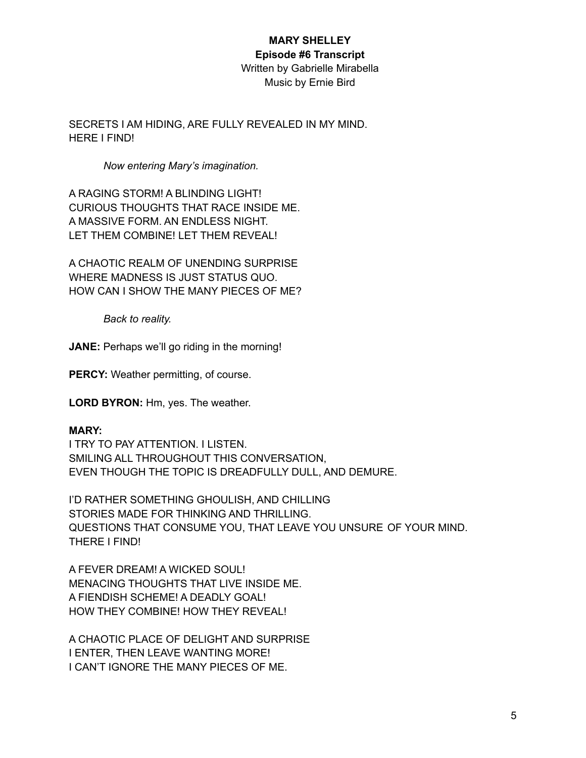# **MARY SHELLEY Episode #6 Transcript**

Written by Gabrielle Mirabella Music by Ernie Bird

SECRETS I AM HIDING, ARE FULLY REVEALED IN MY MIND. HERE I FIND!

## *Now entering Mary's imagination.*

A RAGING STORM! A BLINDING LIGHT! CURIOUS THOUGHTS THAT RACE INSIDE ME. A MASSIVE FORM. AN ENDLESS NIGHT. LET THEM COMBINE! LET THEM REVEAL!

A CHAOTIC REALM OF UNENDING SURPRISE WHERE MADNESS IS JUST STATUS QUO. HOW CAN I SHOW THE MANY PIECES OF ME?

*Back to reality.*

**JANE:** Perhaps we'll go riding in the morning!

**PERCY:** Weather permitting, of course.

**LORD BYRON:** Hm, yes. The weather.

## **MARY:**

I TRY TO PAY ATTENTION. I LISTEN. SMILING ALL THROUGHOUT THIS CONVERSATION, EVEN THOUGH THE TOPIC IS DREADFULLY DULL, AND DEMURE.

I'D RATHER SOMETHING GHOULISH, AND CHILLING STORIES MADE FOR THINKING AND THRILLING. QUESTIONS THAT CONSUME YOU, THAT LEAVE YOU UNSURE OF YOUR MIND. THERE I FIND!

A FEVER DREAM! A WICKED SOUL! MENACING THOUGHTS THAT LIVE INSIDE ME. A FIENDISH SCHEME! A DEADLY GOAL! HOW THEY COMBINE! HOW THEY REVEAL!

A CHAOTIC PLACE OF DELIGHT AND SURPRISE I ENTER, THEN LEAVE WANTING MORE! I CAN'T IGNORE THE MANY PIECES OF ME.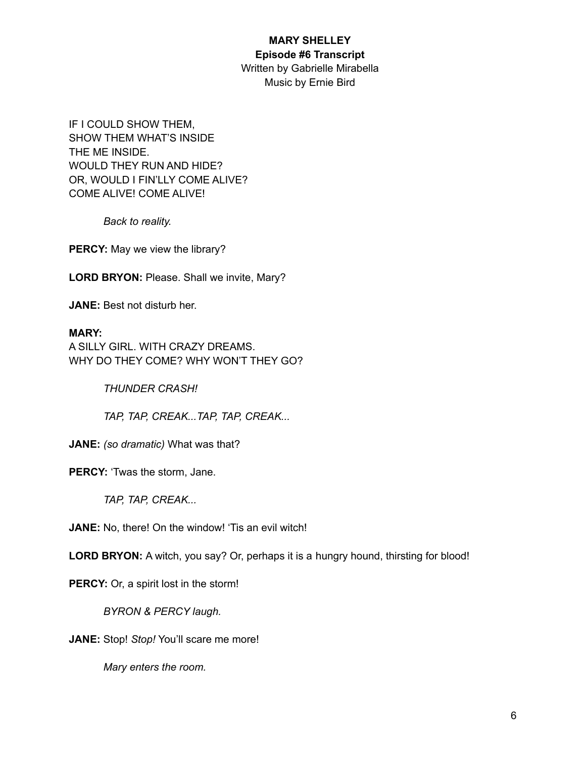#### **MARY SHELLEY Episode #6 Transcript**

Written by Gabrielle Mirabella Music by Ernie Bird

IF I COULD SHOW THEM, SHOW THEM WHAT'S INSIDE THE ME INSIDE. WOULD THEY RUN AND HIDE? OR, WOULD I FIN'LLY COME ALIVE? COME ALIVE! COME ALIVE!

*Back to reality.*

**PERCY:** May we view the library?

**LORD BRYON:** Please. Shall we invite, Mary?

**JANE:** Best not disturb her.

## **MARY:**

A SILLY GIRL. WITH CRAZY DREAMS. WHY DO THEY COME? WHY WON'T THEY GO?

*THUNDER CRASH!*

*TAP, TAP, CREAK...TAP, TAP, CREAK...*

**JANE:** *(so dramatic)* What was that?

**PERCY:** 'Twas the storm, Jane.

*TAP, TAP, CREAK...*

**JANE:** No, there! On the window! 'Tis an evil witch!

**LORD BRYON:** A witch, you say? Or, perhaps it is a hungry hound, thirsting for blood!

**PERCY:** Or, a spirit lost in the storm!

*BYRON & PERCY laugh.*

**JANE:** Stop! *Stop!* You'll scare me more!

*Mary enters the room.*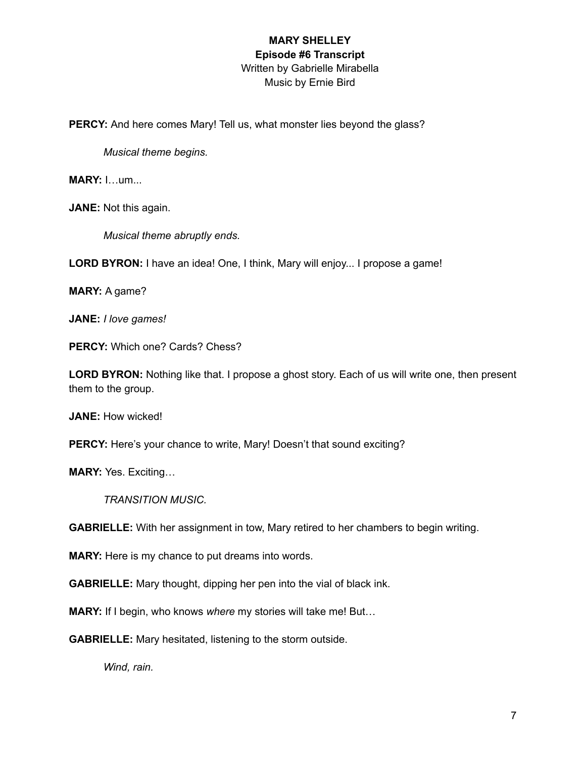PERCY: And here comes Mary! Tell us, what monster lies beyond the glass?

*Musical theme begins.*

**MARY:** I…um...

**JANE:** Not this again.

*Musical theme abruptly ends.*

**LORD BYRON:** I have an idea! One, I think, Mary will enjoy... I propose a game!

**MARY:** A game?

**JANE:** *I love games!*

**PERCY:** Which one? Cards? Chess?

**LORD BYRON:** Nothing like that. I propose a ghost story. Each of us will write one, then present them to the group.

**JANE:** How wicked!

**PERCY:** Here's your chance to write, Mary! Doesn't that sound exciting?

**MARY:** Yes. Exciting…

*TRANSITION MUSIC.*

**GABRIELLE:** With her assignment in tow, Mary retired to her chambers to begin writing.

**MARY:** Here is my chance to put dreams into words.

**GABRIELLE:** Mary thought, dipping her pen into the vial of black ink.

**MARY:** If I begin, who knows *where* my stories will take me! But…

**GABRIELLE:** Mary hesitated, listening to the storm outside.

*Wind, rain.*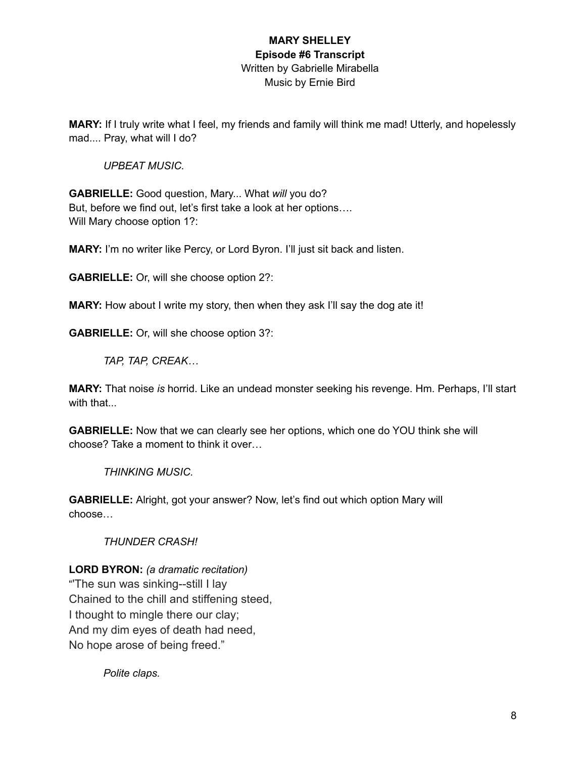**MARY:** If I truly write what I feel, my friends and family will think me mad! Utterly, and hopelessly mad.... Pray, what will I do?

## *UPBEAT MUSIC.*

**GABRIELLE:** Good question, Mary... What *will* you do? But, before we find out, let's first take a look at her options…. Will Mary choose option 1?:

**MARY:** I'm no writer like Percy, or Lord Byron. I'll just sit back and listen.

**GABRIELLE:** Or, will she choose option 2?:

**MARY:** How about I write my story, then when they ask I'll say the dog ate it!

**GABRIELLE:** Or, will she choose option 3?:

*TAP, TAP, CREAK…*

**MARY:** That noise *is* horrid. Like an undead monster seeking his revenge. Hm. Perhaps, I'll start with that...

**GABRIELLE:** Now that we can clearly see her options, which one do YOU think she will choose? Take a moment to think it over…

*THINKING MUSIC.*

**GABRIELLE:** Alright, got your answer? Now, let's find out which option Mary will choose…

*THUNDER CRASH!*

**LORD BYRON:** *(a dramatic recitation)*

"'The sun was sinking--still I lay Chained to the chill and stiffening steed, I thought to mingle there our clay; And my dim eyes of death had need, No hope arose of being freed."

*Polite claps.*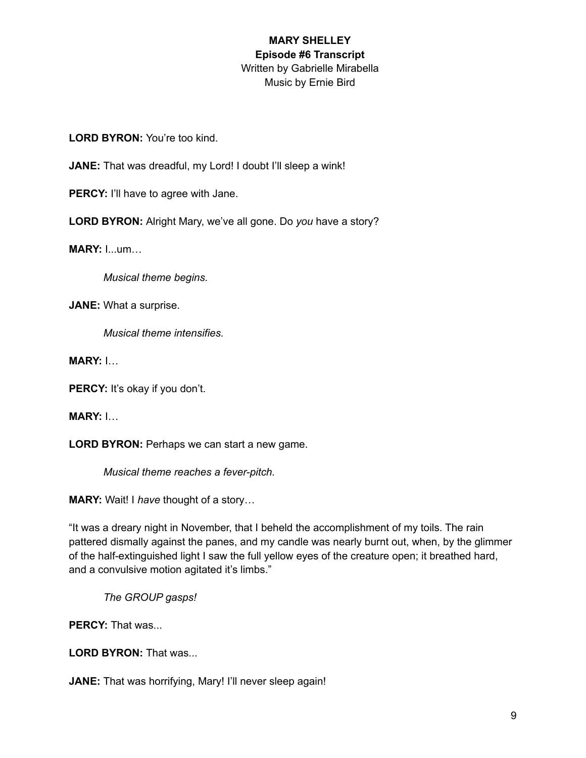**LORD BYRON:** You're too kind.

JANE: That was dreadful, my Lord! I doubt I'll sleep a wink!

**PERCY:** I'll have to agree with Jane.

**LORD BYRON:** Alright Mary, we've all gone. Do *you* have a story?

**MARY:** I...um…

*Musical theme begins.*

**JANE:** What a surprise.

*Musical theme intensifies.*

**MARY:** I…

PERCY: It's okay if you don't.

**MARY:** I…

**LORD BYRON:** Perhaps we can start a new game.

*Musical theme reaches a fever-pitch.*

**MARY:** Wait! I *have* thought of a story…

"It was a dreary night in November, that I beheld the accomplishment of my toils. The rain pattered dismally against the panes, and my candle was nearly burnt out, when, by the glimmer of the half-extinguished light I saw the full yellow eyes of the creature open; it breathed hard, and a convulsive motion agitated it's limbs."

*The GROUP gasps!*

**PERCY:** That was...

**LORD BYRON:** That was...

**JANE:** That was horrifying, Mary! I'll never sleep again!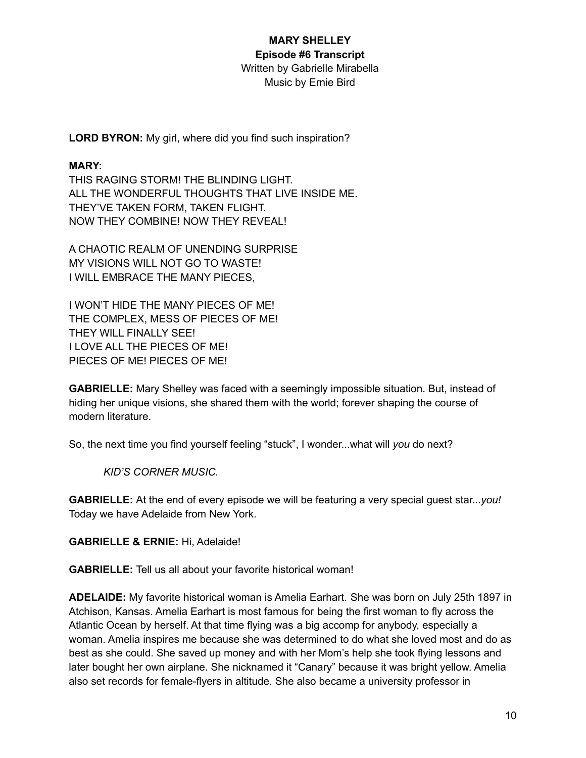## **MARY SHELLEY Episode #6 Transcript** Written by Gabrielle Mirabella

Music by Ernie Bird

**LORD BYRON:** My girl, where did you find such inspiration?

## **MARY:**

THIS RAGING STORM! THE BLINDING LIGHT. ALL THE WONDERFUL THOUGHTS THAT LIVE INSIDE ME. THEY'VE TAKEN FORM, TAKEN FLIGHT. NOW THEY COMBINE! NOW THEY REVEAL!

A CHAOTIC REALM OF UNENDING SURPRISE MY VISIONS WILL NOT GO TO WASTE! I WILL EMBRACE THE MANY PIECES,

I WON'T HIDE THE MANY PIECES OF ME! THE COMPLEX, MESS OF PIECES OF ME! THEY WILL FINALLY SEE! I LOVE ALL THE PIECES OF ME! PIECES OF ME! PIECES OF ME!

**GABRIELLE:** Mary Shelley was faced with a seemingly impossible situation. But, instead of hiding her unique visions, she shared them with the world; forever shaping the course of modern literature.

So, the next time you find yourself feeling "stuck", I wonder...what will *you* do next?

*KID'S CORNER MUSIC.*

**GABRIELLE:** At the end of every episode we will be featuring a very special guest star...*you!* Today we have Adelaide from New York.

**GABRIELLE & ERNIE:** Hi, Adelaide!

**GABRIELLE:** Tell us all about your favorite historical woman!

**ADELAIDE:** My favorite historical woman is Amelia Earhart. She was born on July 25th 1897 in Atchison, Kansas. Amelia Earhart is most famous for being the first woman to fly across the Atlantic Ocean by herself. At that time flying was a big accomp for anybody, especially a woman. Amelia inspires me because she was determined to do what she loved most and do as best as she could. She saved up money and with her Mom's help she took flying lessons and later bought her own airplane. She nicknamed it "Canary" because it was bright yellow. Amelia also set records for female-flyers in altitude. She also became a university professor in